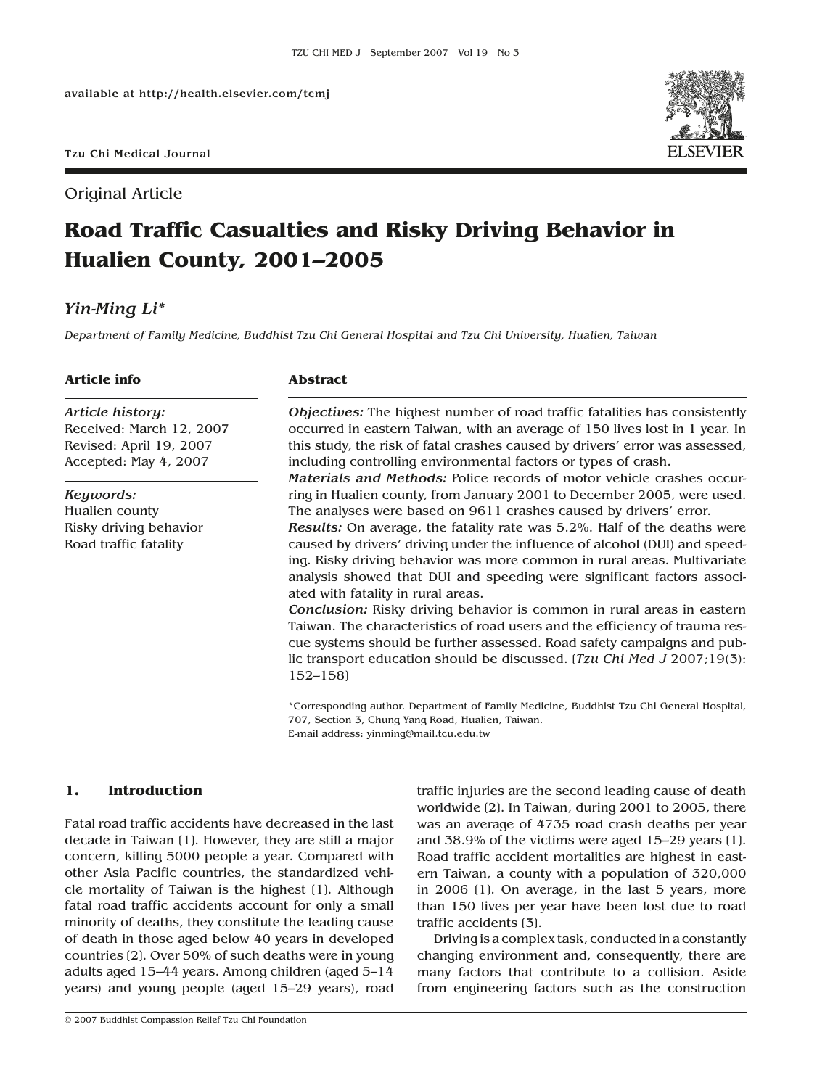Original Article



# **Road Traffic Casualties and Risky Driving Behavior in Hualien County, 2001–2005**

# *Yin-Ming Li\**

*Department of Family Medicine, Buddhist Tzu Chi General Hospital and Tzu Chi University, Hualien, Taiwan*

#### **Article info**

*Article history:* Received: March 12, 2007 Revised: April 19, 2007 Accepted: May 4, 2007

*Keywords:* Hualien county Risky driving behavior Road traffic fatality

#### **Abstract**

*Objectives:* The highest number of road traffic fatalities has consistently occurred in eastern Taiwan, with an average of 150 lives lost in 1 year. In this study, the risk of fatal crashes caused by drivers' error was assessed, including controlling environmental factors or types of crash.

*Materials and Methods:* Police records of motor vehicle crashes occurring in Hualien county, from January 2001 to December 2005, were used. The analyses were based on 9611 crashes caused by drivers' error.

*Results:* On average, the fatality rate was 5.2%. Half of the deaths were caused by drivers' driving under the influence of alcohol (DUI) and speeding. Risky driving behavior was more common in rural areas. Multivariate analysis showed that DUI and speeding were significant factors associated with fatality in rural areas.

*Conclusion:* Risky driving behavior is common in rural areas in eastern Taiwan. The characteristics of road users and the efficiency of trauma rescue systems should be further assessed. Road safety campaigns and public transport education should be discussed. [*Tzu Chi Med J* 2007;19(3): 152–158]

\*Corresponding author. Department of Family Medicine, Buddhist Tzu Chi General Hospital, 707, Section 3, Chung Yang Road, Hualien, Taiwan. E-mail address: yinming@mail.tcu.edu.tw

## **1. Introduction**

Fatal road traffic accidents have decreased in the last decade in Taiwan [1]. However, they are still a major concern, killing 5000 people a year. Compared with other Asia Pacific countries, the standardized vehicle mortality of Taiwan is the highest [1]. Although fatal road traffic accidents account for only a small minority of deaths, they constitute the leading cause of death in those aged below 40 years in developed countries [2]. Over 50% of such deaths were in young adults aged 15–44 years. Among children (aged 5–14 years) and young people (aged 15–29 years), road traffic injuries are the second leading cause of death worldwide [2]. In Taiwan, during 2001 to 2005, there was an average of 4735 road crash deaths per year and 38.9% of the victims were aged 15–29 years [1]. Road traffic accident mortalities are highest in eastern Taiwan, a county with a population of 320,000 in 2006 [1]. On average, in the last 5 years, more than 150 lives per year have been lost due to road traffic accidents [3].

Driving is a complex task, conducted in a constantly changing environment and, consequently, there are many factors that contribute to a collision. Aside from engineering factors such as the construction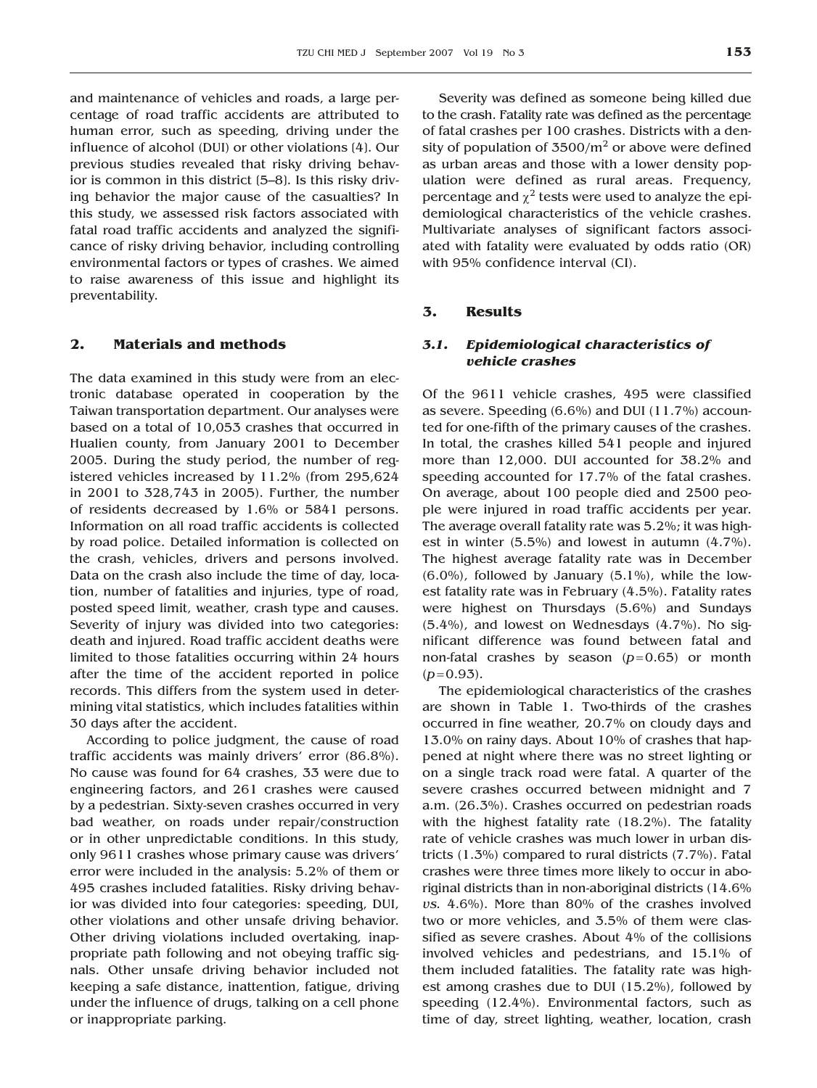and maintenance of vehicles and roads, a large percentage of road traffic accidents are attributed to human error, such as speeding, driving under the influence of alcohol (DUI) or other violations [4]. Our previous studies revealed that risky driving behavior is common in this district [5–8]. Is this risky driving behavior the major cause of the casualties? In this study, we assessed risk factors associated with fatal road traffic accidents and analyzed the significance of risky driving behavior, including controlling environmental factors or types of crashes. We aimed to raise awareness of this issue and highlight its preventability.

## **2. Materials and methods**

The data examined in this study were from an electronic database operated in cooperation by the Taiwan transportation department. Our analyses were based on a total of 10,053 crashes that occurred in Hualien county, from January 2001 to December 2005. During the study period, the number of registered vehicles increased by 11.2% (from 295,624 in 2001 to 328,743 in 2005). Further, the number of residents decreased by 1.6% or 5841 persons. Information on all road traffic accidents is collected by road police. Detailed information is collected on the crash, vehicles, drivers and persons involved. Data on the crash also include the time of day, location, number of fatalities and injuries, type of road, posted speed limit, weather, crash type and causes. Severity of injury was divided into two categories: death and injured. Road traffic accident deaths were limited to those fatalities occurring within 24 hours after the time of the accident reported in police records. This differs from the system used in determining vital statistics, which includes fatalities within 30 days after the accident.

According to police judgment, the cause of road traffic accidents was mainly drivers' error (86.8%). No cause was found for 64 crashes, 33 were due to engineering factors, and 261 crashes were caused by a pedestrian. Sixty-seven crashes occurred in very bad weather, on roads under repair/construction or in other unpredictable conditions. In this study, only 9611 crashes whose primary cause was drivers' error were included in the analysis: 5.2% of them or 495 crashes included fatalities. Risky driving behavior was divided into four categories: speeding, DUI, other violations and other unsafe driving behavior. Other driving violations included overtaking, inappropriate path following and not obeying traffic signals. Other unsafe driving behavior included not keeping a safe distance, inattention, fatigue, driving under the influence of drugs, talking on a cell phone or inappropriate parking.

Severity was defined as someone being killed due to the crash. Fatality rate was defined as the percentage of fatal crashes per 100 crashes. Districts with a density of population of  $3500/m^2$  or above were defined as urban areas and those with a lower density population were defined as rural areas. Frequency, percentage and  $\chi^2$  tests were used to analyze the epidemiological characteristics of the vehicle crashes. Multivariate analyses of significant factors associated with fatality were evaluated by odds ratio (OR) with 95% confidence interval (CI).

## **3. Results**

# *3.1. Epidemiological characteristics of vehicle crashes*

Of the 9611 vehicle crashes, 495 were classified as severe. Speeding (6.6%) and DUI (11.7%) accounted for one-fifth of the primary causes of the crashes. In total, the crashes killed 541 people and injured more than 12,000. DUI accounted for 38.2% and speeding accounted for 17.7% of the fatal crashes. On average, about 100 people died and 2500 people were injured in road traffic accidents per year. The average overall fatality rate was 5.2%; it was highest in winter (5.5%) and lowest in autumn (4.7%). The highest average fatality rate was in December  $(6.0\%)$ , followed by January  $(5.1\%)$ , while the lowest fatality rate was in February (4.5%). Fatality rates were highest on Thursdays (5.6%) and Sundays (5.4%), and lowest on Wednesdays (4.7%). No significant difference was found between fatal and non-fatal crashes by season ( $p=0.65$ ) or month  $(p= 0.93)$ .

The epidemiological characteristics of the crashes are shown in Table 1. Two-thirds of the crashes occurred in fine weather, 20.7% on cloudy days and 13.0% on rainy days. About 10% of crashes that happened at night where there was no street lighting or on a single track road were fatal. A quarter of the severe crashes occurred between midnight and 7 a.m. (26.3%). Crashes occurred on pedestrian roads with the highest fatality rate (18.2%). The fatality rate of vehicle crashes was much lower in urban districts (1.3%) compared to rural districts (7.7%). Fatal crashes were three times more likely to occur in aboriginal districts than in non-aboriginal districts (14.6% *vs.* 4.6%). More than 80% of the crashes involved two or more vehicles, and 3.5% of them were classified as severe crashes. About 4% of the collisions involved vehicles and pedestrians, and 15.1% of them included fatalities. The fatality rate was highest among crashes due to DUI (15.2%), followed by speeding (12.4%). Environmental factors, such as time of day, street lighting, weather, location, crash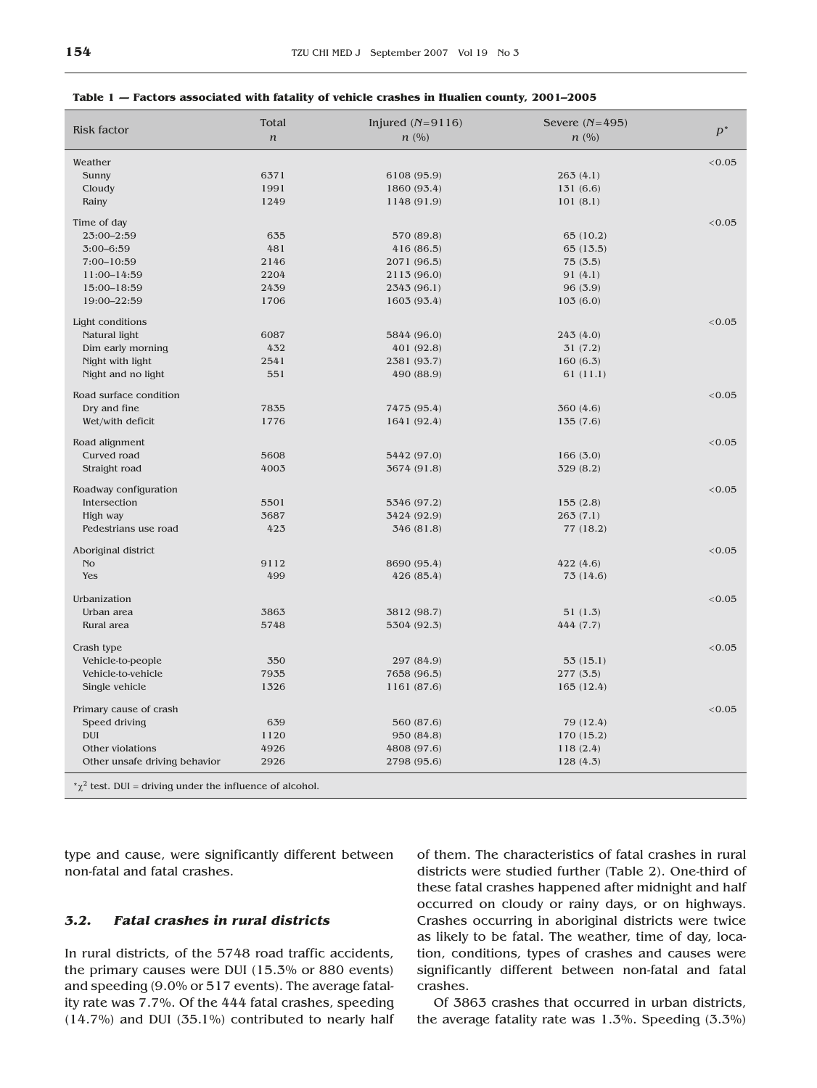|  |  | Table 1 – Factors associated with fatality of vehicle crashes in Hualien county, 2001–2005 |  |  |  |  |  |  |  |  |
|--|--|--------------------------------------------------------------------------------------------|--|--|--|--|--|--|--|--|
|--|--|--------------------------------------------------------------------------------------------|--|--|--|--|--|--|--|--|

| <b>Risk factor</b>                                             | Total<br>$\boldsymbol{n}$ | Injured $(N=9116)$<br>n (%) | Severe $(N=495)$<br>n(%) | $p^*$  |
|----------------------------------------------------------------|---------------------------|-----------------------------|--------------------------|--------|
| Weather                                                        |                           |                             |                          | < 0.05 |
| Sunny                                                          | 6371                      | 6108 (95.9)                 | 263(4.1)                 |        |
| Cloudy                                                         | 1991                      | 1860 (93.4)                 | 131(6.6)                 |        |
| Rainy                                                          | 1249                      | 1148 (91.9)                 | 101(8.1)                 |        |
|                                                                |                           |                             |                          |        |
| Time of day                                                    |                           |                             |                          | < 0.05 |
| 23:00-2:59                                                     | 635                       | 570 (89.8)                  | 65 (10.2)                |        |
| $3:00 - 6:59$                                                  | 481                       | 416 (86.5)                  | 65(13.5)                 |        |
| 7:00-10:59                                                     | 2146                      | 2071 (96.5)                 | 75(3.5)                  |        |
| 11:00-14:59                                                    | 2204                      | 2113 (96.0)                 | 91(4.1)                  |        |
| 15:00-18:59                                                    | 2439                      | 2343 (96.1)                 | 96 (3.9)                 |        |
| 19:00-22:59                                                    | 1706                      | 1603 (93.4)                 | 103(6.0)                 |        |
| Light conditions                                               |                           |                             |                          | < 0.05 |
| Natural light                                                  | 6087                      | 5844 (96.0)                 | 243(4.0)                 |        |
| Dim early morning                                              | 432                       | 401 (92.8)                  | 31(7.2)                  |        |
| Night with light                                               | 2541                      | 2381 (93.7)                 | 160(6.3)                 |        |
| Night and no light                                             | 551                       | 490 (88.9)                  | 61 (11.1)                |        |
|                                                                |                           |                             |                          |        |
| Road surface condition                                         |                           |                             |                          | < 0.05 |
| Dry and fine                                                   | 7835                      | 7475 (95.4)                 | 360 (4.6)                |        |
| Wet/with deficit                                               | 1776                      | 1641 (92.4)                 | 135 (7.6)                |        |
| Road alignment                                                 |                           |                             |                          | < 0.05 |
| Curved road                                                    | 5608                      | 5442 (97.0)                 | 166(3.0)                 |        |
| Straight road                                                  | 4003                      | 3674 (91.8)                 | 329 (8.2)                |        |
|                                                                |                           |                             |                          |        |
| Roadway configuration                                          |                           |                             |                          | < 0.05 |
| Intersection                                                   | 5501                      | 5346 (97.2)                 | 155(2.8)                 |        |
| High way                                                       | 3687                      | 3424 (92.9)                 | 263(7.1)                 |        |
| Pedestrians use road                                           | 423                       | 346 (81.8)                  | 77 (18.2)                |        |
|                                                                |                           |                             |                          |        |
| Aboriginal district                                            |                           |                             |                          | < 0.05 |
| No                                                             | 9112                      | 8690 (95.4)                 | 422 (4.6)                |        |
| Yes                                                            | 499                       | 426 (85.4)                  | 73 (14.6)                |        |
| Urbanization                                                   |                           |                             |                          | < 0.05 |
| Urban area                                                     | 3863                      | 3812 (98.7)                 | 51(1.3)                  |        |
| Rural area                                                     | 5748                      | 5304 (92.3)                 | 444 (7.7)                |        |
|                                                                |                           |                             |                          |        |
| Crash type                                                     |                           |                             |                          | < 0.05 |
| Vehicle-to-people                                              | 350                       | 297 (84.9)                  | 53(15.1)                 |        |
| Vehicle-to-vehicle                                             | 7935                      | 7658 (96.5)                 | 277(3.5)                 |        |
| Single vehicle                                                 | 1326                      | 1161 (87.6)                 | 165 (12.4)               |        |
|                                                                |                           |                             |                          | < 0.05 |
| Primary cause of crash                                         | 639                       |                             |                          |        |
| Speed driving                                                  |                           | 560 (87.6)                  | 79 (12.4)                |        |
| <b>DUI</b>                                                     | 1120                      | 950 (84.8)                  | 170 (15.2)               |        |
| Other violations                                               | 4926                      | 4808 (97.6)                 | 118(2.4)                 |        |
| Other unsafe driving behavior                                  | 2926                      | 2798 (95.6)                 | 128(4.3)                 |        |
| * $\chi^2$ test. DUI = driving under the influence of alcohol. |                           |                             |                          |        |

type and cause, were significantly different between non-fatal and fatal crashes.

## *3.2. Fatal crashes in rural districts*

In rural districts, of the 5748 road traffic accidents, the primary causes were DUI (15.3% or 880 events) and speeding (9.0% or 517 events). The average fatality rate was 7.7%. Of the 444 fatal crashes, speeding (14.7%) and DUI (35.1%) contributed to nearly half of them. The characteristics of fatal crashes in rural districts were studied further (Table 2). One-third of these fatal crashes happened after midnight and half occurred on cloudy or rainy days, or on highways. Crashes occurring in aboriginal districts were twice as likely to be fatal. The weather, time of day, location, conditions, types of crashes and causes were significantly different between non-fatal and fatal crashes.

Of 3863 crashes that occurred in urban districts, the average fatality rate was 1.3%. Speeding (3.3%)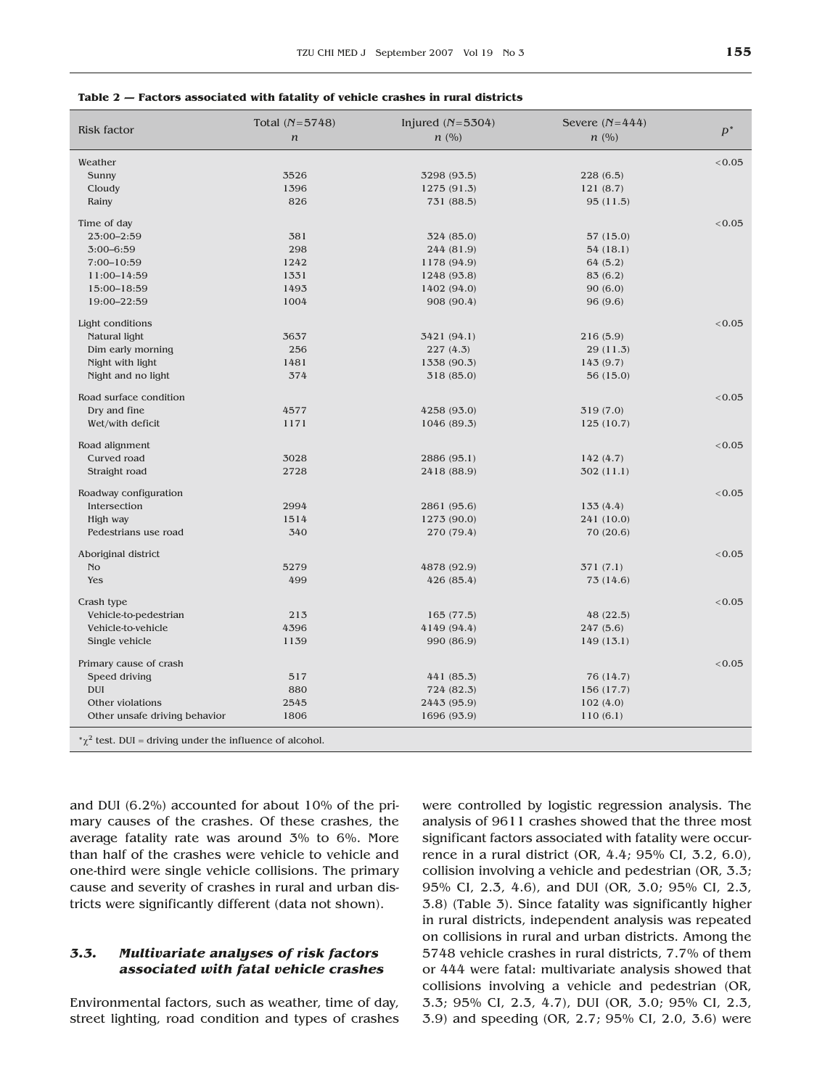| <b>Risk factor</b>                                             | Total $(N=5748)$<br>$\boldsymbol{n}$ | Injured $(N=5304)$<br>n(%) | Severe $(N=444)$<br>n(%) | $p^*$  |
|----------------------------------------------------------------|--------------------------------------|----------------------------|--------------------------|--------|
| Weather                                                        |                                      |                            |                          | < 0.05 |
| Sunny                                                          | 3526                                 | 3298 (93.5)                | 228 (6.5)                |        |
| Cloudy                                                         | 1396                                 | 1275 (91.3)                | 121 (8.7)                |        |
| Rainy                                                          | 826                                  | 731 (88.5)                 | 95(11.5)                 |        |
| Time of day                                                    |                                      |                            |                          | < 0.05 |
| 23:00-2:59                                                     | 381                                  | 324 (85.0)                 | 57 (15.0)                |        |
| 3:00-6:59                                                      | 298                                  | 244 (81.9)                 | 54(18.1)                 |        |
| 7:00-10:59                                                     | 1242                                 | 1178 (94.9)                | 64(5.2)                  |        |
| 11:00-14:59                                                    | 1331                                 | 1248 (93.8)                | 83(6.2)                  |        |
| 15:00-18:59                                                    | 1493                                 |                            |                          |        |
|                                                                | 1004                                 | 1402 (94.0)                | 90(6.0)                  |        |
| 19:00-22:59                                                    |                                      | 908 (90.4)                 | 96 (9.6)                 |        |
| Light conditions                                               |                                      |                            |                          | < 0.05 |
| Natural light                                                  | 3637                                 | 3421 (94.1)                | 216 (5.9)                |        |
| Dim early morning                                              | 256                                  | 227(4.3)                   | 29 (11.3)                |        |
| Night with light                                               | 1481                                 | 1338 (90.3)                | 143(9.7)                 |        |
| Night and no light                                             | 374                                  | 318 (85.0)                 | 56 (15.0)                |        |
| Road surface condition                                         |                                      |                            |                          | < 0.05 |
| Dry and fine                                                   | 4577                                 | 4258 (93.0)                | 319 (7.0)                |        |
| Wet/with deficit                                               | 1171                                 | 1046 (89.3)                | 125(10.7)                |        |
| Road alignment                                                 |                                      |                            |                          | < 0.05 |
| Curved road                                                    | 3028                                 | 2886 (95.1)                | 142(4.7)                 |        |
| Straight road                                                  | 2728                                 | 2418 (88.9)                | 302 (11.1)               |        |
| Roadway configuration                                          |                                      |                            |                          | < 0.05 |
| Intersection                                                   | 2994                                 | 2861 (95.6)                | 133(4.4)                 |        |
| High way                                                       | 1514                                 | 1273 (90.0)                | 241 (10.0)               |        |
| Pedestrians use road                                           | 340                                  | 270 (79.4)                 | 70 (20.6)                |        |
|                                                                |                                      |                            |                          |        |
| Aboriginal district                                            |                                      |                            |                          | < 0.05 |
| No                                                             | 5279                                 | 4878 (92.9)                | 371 (7.1)                |        |
| <b>Yes</b>                                                     | 499                                  | 426 (85.4)                 | 73(14.6)                 |        |
| Crash type                                                     |                                      |                            |                          | < 0.05 |
| Vehicle-to-pedestrian                                          | 213                                  | 165(77.5)                  | 48 (22.5)                |        |
| Vehicle-to-vehicle                                             | 4396                                 | 4149 (94.4)                | 247(5.6)                 |        |
| Single vehicle                                                 | 1139                                 | 990 (86.9)                 | 149(13.1)                |        |
| Primary cause of crash                                         |                                      |                            |                          | < 0.05 |
| Speed driving                                                  | 517                                  | 441 (85.3)                 | 76 (14.7)                |        |
| <b>DUI</b>                                                     | 880                                  | 724 (82.3)                 | 156 (17.7)               |        |
| Other violations                                               | 2545                                 | 2443 (95.9)                | 102(4.0)                 |        |
| Other unsafe driving behavior                                  | 1806                                 | 1696 (93.9)                | 110(6.1)                 |        |
| * $\chi^2$ test. DUI = driving under the influence of alcohol. |                                      |                            |                          |        |

| Table 2 – Factors associated with fatality of vehicle crashes in rural districts |  |  |  |
|----------------------------------------------------------------------------------|--|--|--|
|----------------------------------------------------------------------------------|--|--|--|

and DUI (6.2%) accounted for about 10% of the primary causes of the crashes. Of these crashes, the average fatality rate was around 3% to 6%. More than half of the crashes were vehicle to vehicle and one-third were single vehicle collisions. The primary cause and severity of crashes in rural and urban districts were significantly different (data not shown).

## *3.3. Multivariate analyses of risk factors associated with fatal vehicle crashes*

Environmental factors, such as weather, time of day, street lighting, road condition and types of crashes were controlled by logistic regression analysis. The analysis of 9611 crashes showed that the three most significant factors associated with fatality were occurrence in a rural district (OR, 4.4; 95% CI, 3.2, 6.0), collision involving a vehicle and pedestrian (OR, 3.3; 95% CI, 2.3, 4.6), and DUI (OR, 3.0; 95% CI, 2.3, 3.8) (Table 3). Since fatality was significantly higher in rural districts, independent analysis was repeated on collisions in rural and urban districts. Among the 5748 vehicle crashes in rural districts, 7.7% of them or 444 were fatal: multivariate analysis showed that collisions involving a vehicle and pedestrian (OR, 3.3; 95% CI, 2.3, 4.7), DUI (OR, 3.0; 95% CI, 2.3, 3.9) and speeding (OR, 2.7; 95% CI, 2.0, 3.6) were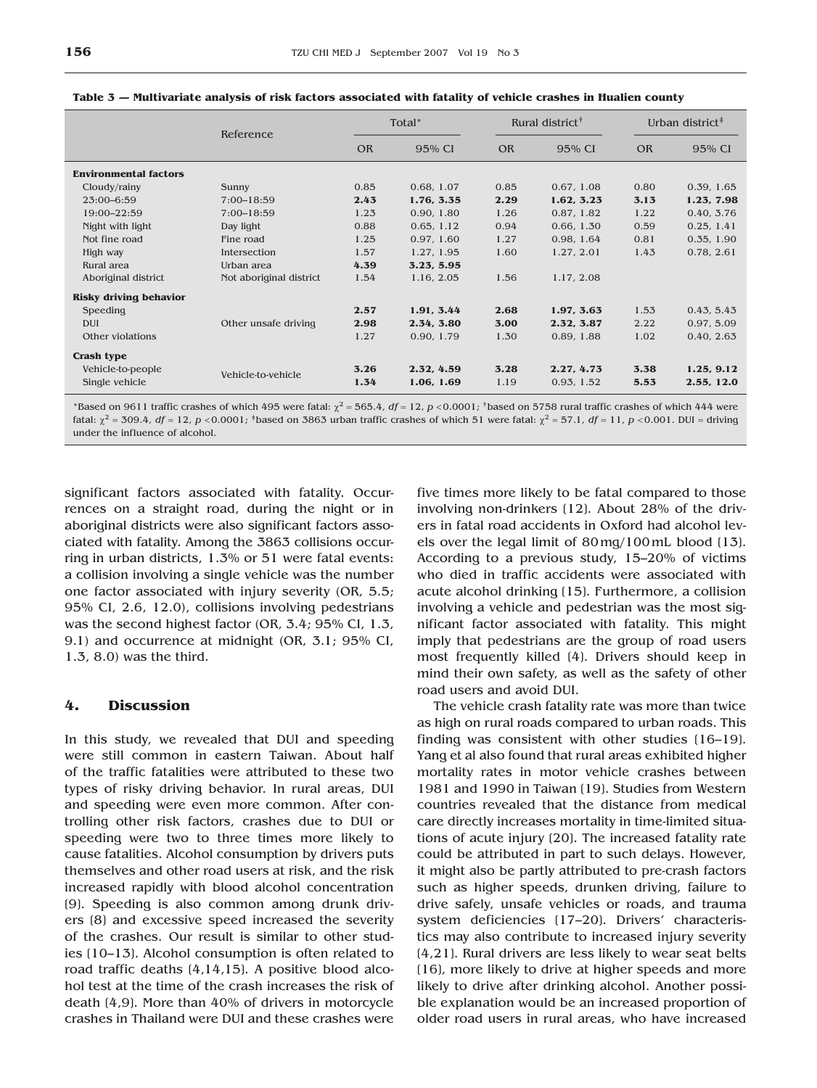|                               | Reference               |           | Rural district <sup>†</sup><br>Total* |           |            | Urban district <sup>#</sup> |            |
|-------------------------------|-------------------------|-----------|---------------------------------------|-----------|------------|-----------------------------|------------|
|                               |                         | <b>OR</b> | 95% CI                                | <b>OR</b> | 95% CI     | <b>OR</b>                   | 95% CI     |
| <b>Environmental factors</b>  |                         |           |                                       |           |            |                             |            |
| Cloudy/rainy                  | Sunny                   | 0.85      | 0.68, 1.07                            | 0.85      | 0.67, 1.08 | 0.80                        | 0.39, 1.65 |
| 23:00-6:59                    | $7:00 - 18:59$          | 2.43      | 1.76, 3.35                            | 2.29      | 1.62, 3.23 | 3.13                        | 1.23, 7.98 |
| 19:00-22:59                   | $7:00 - 18:59$          | 1.23      | 0.90, 1.80                            | 1.26      | 0.87, 1.82 | 1.22                        | 0.40, 3.76 |
| Night with light              | Day light               | 0.88      | 0.65, 1.12                            | 0.94      | 0.66, 1.30 | 0.59                        | 0.25, 1.41 |
| Not fine road                 | Fine road               | 1.25      | 0.97, 1.60                            | 1.27      | 0.98, 1.64 | 0.81                        | 0.35, 1.90 |
| High way                      | Intersection            | 1.57      | 1.27, 1.95                            | 1.60      | 1.27, 2.01 | 1.43                        | 0.78, 2.61 |
| Rural area                    | Urban area              | 4.39      | 3.23, 5.95                            |           |            |                             |            |
| Aboriginal district           | Not aboriginal district | 1.54      | 1.16, 2.05                            | 1.56      | 1.17, 2.08 |                             |            |
| <b>Risky driving behavior</b> |                         |           |                                       |           |            |                             |            |
| Speeding                      |                         | 2.57      | 1.91, 3.44                            | 2.68      | 1.97, 3.63 | 1.53                        | 0.43, 5.43 |
| <b>DUI</b>                    | Other unsafe driving    | 2.98      | 2.34, 3.80                            | 3.00      | 2.32, 3.87 | 2.22                        | 0.97, 5.09 |
| Other violations              |                         | 1.27      | 0.90, 1.79                            | 1.30      | 0.89, 1.88 | 1.02                        | 0.40, 2.63 |
| Crash type                    |                         |           |                                       |           |            |                             |            |
| Vehicle-to-people             | Vehicle-to-vehicle      | 3.26      | 2.32, 4.59                            | 3.28      | 2.27, 4.73 | 3.38                        | 1.25, 9.12 |
| Single vehicle                |                         | 1.34      | 1.06, 1.69                            | 1.19      | 0.93, 1.52 | 5.53                        | 2.55, 12.0 |
|                               |                         |           |                                       |           |            |                             |            |

**Table 3 — Multivariate analysis of risk factors associated with fatality of vehicle crashes in Hualien county**

\*Based on 9611 traffic crashes of which 495 were fatal:  $\chi^2$  = 565.4,  $df = 12$ ,  $p < 0.0001$ ; <sup>†</sup>based on 5758 rural traffic crashes of which 444 were fatal:  $\chi^2 = 309.4$ , *df* = 12, *p* < 0.0001; \*based on 3863 urban traffic crashes of which 51 were fatal:  $\chi^2 = 57.1$ , *df* = 11, *p* < 0.001. DUI = driving under the influence of alcohol.

significant factors associated with fatality. Occurrences on a straight road, during the night or in aboriginal districts were also significant factors associated with fatality. Among the 3863 collisions occurring in urban districts, 1.3% or 51 were fatal events: a collision involving a single vehicle was the number one factor associated with injury severity (OR, 5.5; 95% CI, 2.6, 12.0), collisions involving pedestrians was the second highest factor (OR, 3.4; 95% CI, 1.3, 9.1) and occurrence at midnight (OR, 3.1; 95% CI, 1.3, 8.0) was the third.

#### **4. Discussion**

In this study, we revealed that DUI and speeding were still common in eastern Taiwan. About half of the traffic fatalities were attributed to these two types of risky driving behavior. In rural areas, DUI and speeding were even more common. After controlling other risk factors, crashes due to DUI or speeding were two to three times more likely to cause fatalities. Alcohol consumption by drivers puts themselves and other road users at risk, and the risk increased rapidly with blood alcohol concentration [9]. Speeding is also common among drunk drivers [8] and excessive speed increased the severity of the crashes. Our result is similar to other studies [10–13]. Alcohol consumption is often related to road traffic deaths [4,14,15]. A positive blood alcohol test at the time of the crash increases the risk of death [4,9]. More than 40% of drivers in motorcycle crashes in Thailand were DUI and these crashes were five times more likely to be fatal compared to those involving non-drinkers [12]. About 28% of the drivers in fatal road accidents in Oxford had alcohol levels over the legal limit of 80 mg/100 mL blood [13]. According to a previous study, 15–20% of victims who died in traffic accidents were associated with acute alcohol drinking [15]. Furthermore, a collision involving a vehicle and pedestrian was the most significant factor associated with fatality. This might imply that pedestrians are the group of road users most frequently killed [4]. Drivers should keep in mind their own safety, as well as the safety of other road users and avoid DUI.

The vehicle crash fatality rate was more than twice as high on rural roads compared to urban roads. This finding was consistent with other studies [16–19]. Yang et al also found that rural areas exhibited higher mortality rates in motor vehicle crashes between 1981 and 1990 in Taiwan [19]. Studies from Western countries revealed that the distance from medical care directly increases mortality in time-limited situations of acute injury [20]. The increased fatality rate could be attributed in part to such delays. However, it might also be partly attributed to pre-crash factors such as higher speeds, drunken driving, failure to drive safely, unsafe vehicles or roads, and trauma system deficiencies (17–20). Drivers' characteristics may also contribute to increased injury severity [4,21]. Rural drivers are less likely to wear seat belts [16], more likely to drive at higher speeds and more likely to drive after drinking alcohol. Another possible explanation would be an increased proportion of older road users in rural areas, who have increased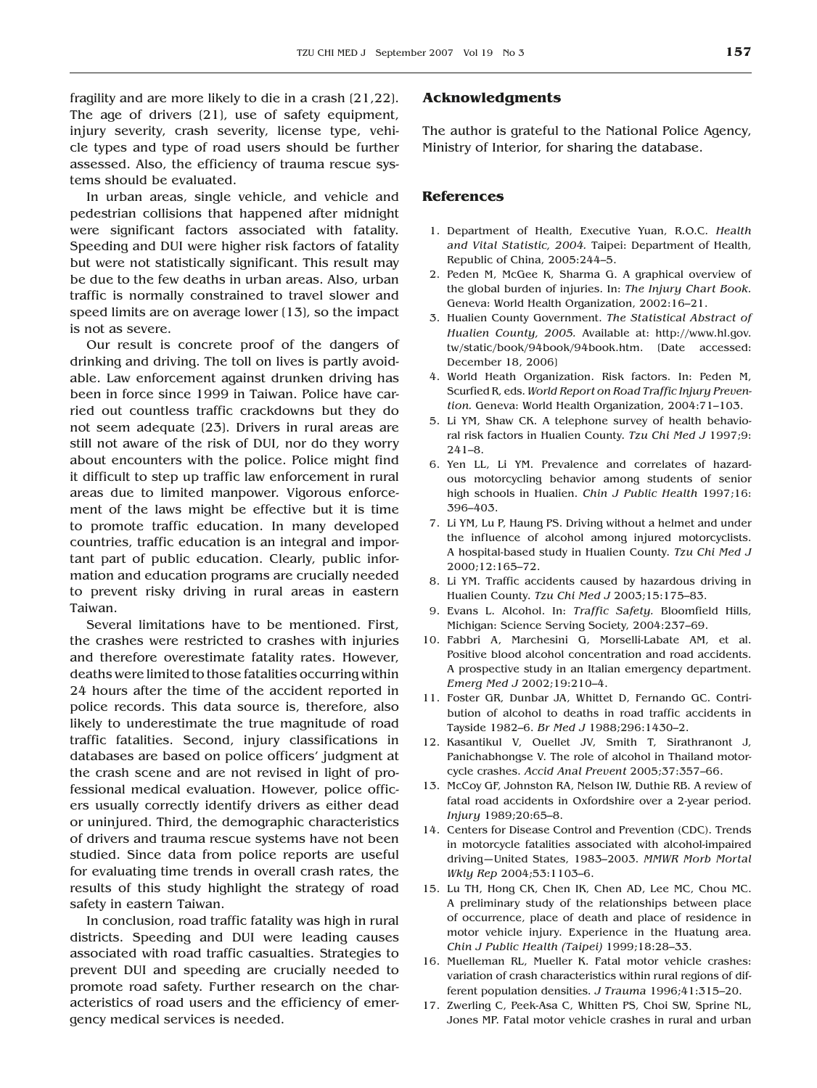fragility and are more likely to die in a crash [21,22]. The age of drivers [21], use of safety equipment, injury severity, crash severity, license type, vehicle types and type of road users should be further assessed. Also, the efficiency of trauma rescue systems should be evaluated.

In urban areas, single vehicle, and vehicle and pedestrian collisions that happened after midnight were significant factors associated with fatality. Speeding and DUI were higher risk factors of fatality but were not statistically significant. This result may be due to the few deaths in urban areas. Also, urban traffic is normally constrained to travel slower and speed limits are on average lower [13], so the impact is not as severe.

Our result is concrete proof of the dangers of drinking and driving. The toll on lives is partly avoidable. Law enforcement against drunken driving has been in force since 1999 in Taiwan. Police have carried out countless traffic crackdowns but they do not seem adequate [23]. Drivers in rural areas are still not aware of the risk of DUI, nor do they worry about encounters with the police. Police might find it difficult to step up traffic law enforcement in rural areas due to limited manpower. Vigorous enforcement of the laws might be effective but it is time to promote traffic education. In many developed countries, traffic education is an integral and important part of public education. Clearly, public information and education programs are crucially needed to prevent risky driving in rural areas in eastern Taiwan.

Several limitations have to be mentioned. First, the crashes were restricted to crashes with injuries and therefore overestimate fatality rates. However, deaths were limited to those fatalities occurring within 24 hours after the time of the accident reported in police records. This data source is, therefore, also likely to underestimate the true magnitude of road traffic fatalities. Second, injury classifications in databases are based on police officers' judgment at the crash scene and are not revised in light of professional medical evaluation. However, police officers usually correctly identify drivers as either dead or uninjured. Third, the demographic characteristics of drivers and trauma rescue systems have not been studied. Since data from police reports are useful for evaluating time trends in overall crash rates, the results of this study highlight the strategy of road safety in eastern Taiwan.

In conclusion, road traffic fatality was high in rural districts. Speeding and DUI were leading causes associated with road traffic casualties. Strategies to prevent DUI and speeding are crucially needed to promote road safety. Further research on the characteristics of road users and the efficiency of emergency medical services is needed.

## **Acknowledgments**

The author is grateful to the National Police Agency, Ministry of Interior, for sharing the database.

## **References**

- 1. Department of Health, Executive Yuan, R.O.C. *Health and Vital Statistic, 2004.* Taipei: Department of Health, Republic of China, 2005:244–5.
- 2. Peden M, McGee K, Sharma G. A graphical overview of the global burden of injuries. In: *The Injury Chart Book.* Geneva: World Health Organization, 2002:16–21.
- 3. Hualien County Government. *The Statistical Abstract of Hualien County, 2005.* Available at: http://www.hl.gov. tw/static/book/94book/94book.htm. [Date accessed: December 18, 2006]
- 4. World Heath Organization. Risk factors. In: Peden M, Scurfied R, eds. *World Report on Road Traffic Injury Prevention.* Geneva: World Health Organization, 2004:71–103.
- 5. Li YM, Shaw CK. A telephone survey of health behavioral risk factors in Hualien County. *Tzu Chi Med J* 1997;9:  $241 - 8$ .
- 6. Yen LL, Li YM. Prevalence and correlates of hazardous motorcycling behavior among students of senior high schools in Hualien. *Chin J Public Health* 1997;16: 396–403.
- 7. Li YM, Lu P, Haung PS. Driving without a helmet and under the influence of alcohol among injured motorcyclists. A hospital-based study in Hualien County. *Tzu Chi Med J* 2000;12:165–72.
- 8. Li YM. Traffic accidents caused by hazardous driving in Hualien County. *Tzu Chi Med J* 2003;15:175–83.
- 9. Evans L. Alcohol. In: *Traffic Safety.* Bloomfield Hills, Michigan: Science Serving Society, 2004:237–69.
- 10. Fabbri A, Marchesini G, Morselli-Labate AM, et al. Positive blood alcohol concentration and road accidents. A prospective study in an Italian emergency department. *Emerg Med J* 2002;19:210–4.
- 11. Foster GR, Dunbar JA, Whittet D, Fernando GC. Contribution of alcohol to deaths in road traffic accidents in Tayside 1982–6. *Br Med J* 1988;296:1430–2.
- 12. Kasantikul V, Ouellet JV, Smith T, Sirathranont J, Panichabhongse V. The role of alcohol in Thailand motorcycle crashes. *Accid Anal Prevent* 2005;37:357–66.
- 13. McCoy GF, Johnston RA, Nelson IW, Duthie RB. A review of fatal road accidents in Oxfordshire over a 2-year period. *Injury* 1989;20:65–8.
- 14. Centers for Disease Control and Prevention (CDC). Trends in motorcycle fatalities associated with alcohol-impaired driving—United States, 1983–2003. *MMWR Morb Mortal Wkly Rep* 2004;53:1103–6.
- 15. Lu TH, Hong CK, Chen IK, Chen AD, Lee MC, Chou MC. A preliminary study of the relationships between place of occurrence, place of death and place of residence in motor vehicle injury. Experience in the Huatung area. *Chin J Public Health (Taipei)* 1999;18:28–33.
- 16. Muelleman RL, Mueller K. Fatal motor vehicle crashes: variation of crash characteristics within rural regions of different population densities. *J Trauma* 1996;41:315–20.
- 17. Zwerling C, Peek-Asa C, Whitten PS, Choi SW, Sprine NL, Jones MP. Fatal motor vehicle crashes in rural and urban